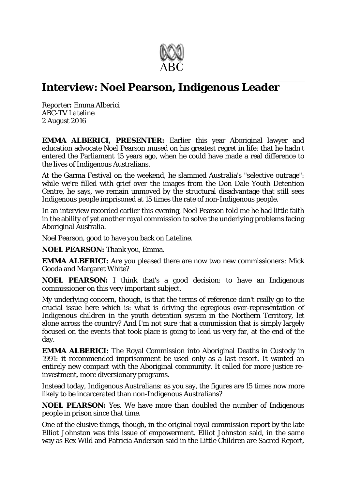

## **Interview: Noel Pearson, Indigenous Leader**

Reporter**:** Emma Alberici *ABC-TV Lateline* 2 August 2016

**EMMA ALBERICI, PRESENTER:** Earlier this year Aboriginal lawyer and education advocate Noel Pearson mused on his greatest regret in life: that he hadn't entered the Parliament 15 years ago, when he could have made a real difference to the lives of Indigenous Australians.

At the Garma Festival on the weekend, he slammed Australia's "selective outrage": while we're filled with grief over the images from the Don Dale Youth Detention Centre, he says, we remain unmoved by the structural disadvantage that still sees Indigenous people imprisoned at 15 times the rate of non-Indigenous people.

In an interview recorded earlier this evening, Noel Pearson told me he had little faith in the ability of yet another royal commission to solve the underlying problems facing Aboriginal Australia.

Noel Pearson, good to have you back on Lateline.

**NOEL PEARSON:** Thank you, Emma.

**EMMA ALBERICI:** Are you pleased there are now two new commissioners: Mick Gooda and Margaret White?

**NOEL PEARSON:** I think that's a good decision: to have an Indigenous commissioner on this very important subject.

My underlying concern, though, is that the terms of reference don't really go to the crucial issue here which is: what is driving the egregious over-representation of Indigenous children in the youth detention system in the Northern Territory, let alone across the country? And I'm not sure that a commission that is simply largely focused on the events that took place is going to lead us very far, at the end of the day.

**EMMA ALBERICI:** The Royal Commission into Aboriginal Deaths in Custody in 1991: it recommended imprisonment be used only as a last resort. It wanted an entirely new compact with the Aboriginal community. It called for more justice reinvestment, more diversionary programs.

Instead today, Indigenous Australians: as you say, the figures are 15 times now more likely to be incarcerated than non-Indigenous Australians?

**NOEL PEARSON:** Yes. We have more than doubled the number of Indigenous people in prison since that time.

One of the elusive things, though, in the original royal commission report by the late Elliot Johnston was this issue of empowerment. Elliot Johnston said, in the same way as Rex Wild and Patricia Anderson said in the Little Children are Sacred Report,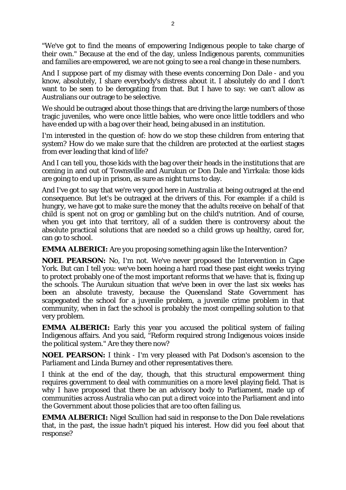"We've got to find the means of empowering Indigenous people to take charge of their own." Because at the end of the day, unless Indigenous parents, communities and families are empowered, we are not going to see a real change in these numbers.

And I suppose part of my dismay with these events concerning Don Dale - and you know, absolutely, I share everybody's distress about it. I absolutely do and I don't want to be seen to be derogating from that. But I have to say: we can't allow as Australians our outrage to be selective.

We should be outraged about those things that are driving the large numbers of those tragic juveniles, who were once little babies, who were once little toddlers and who have ended up with a bag over their head, being abused in an institution.

I'm interested in the question of: how do we stop these children from entering that system? How do we make sure that the children are protected at the earliest stages from ever leading that kind of life?

And I can tell you, those kids with the bag over their heads in the institutions that are coming in and out of Townsville and Aurukun or Don Dale and Yirrkala: those kids are going to end up in prison, as sure as night turns to day.

And I've got to say that we're very good here in Australia at being outraged at the end consequence. But let's be outraged at the drivers of this. For example: if a child is hungry, we have got to make sure the money that the adults receive on behalf of that child is spent not on grog or gambling but on the child's nutrition. And of course, when you get into that territory, all of a sudden there is controversy about the absolute practical solutions that are needed so a child grows up healthy, cared for, can go to school.

**EMMA ALBERICI:** Are you proposing something again like the Intervention?

**NOEL PEARSON:** No, I'm not. We've never proposed the Intervention in Cape York. But can I tell you: we've been hoeing a hard road these past eight weeks trying to protect probably one of the most important reforms that we have: that is, fixing up the schools. The Aurukun situation that we've been in over the last six weeks has been an absolute travesty, because the Queensland State Government has scapegoated the school for a juvenile problem, a juvenile crime problem in that community, when in fact the school is probably the most compelling solution to that very problem.

**EMMA ALBERICI:** Early this year you accused the political system of failing Indigenous affairs. And you said, "Reform required strong Indigenous voices inside the political system." Are they there now?

**NOEL PEARSON:** I think - I'm very pleased with Pat Dodson's ascension to the Parliament and Linda Burney and other representatives there.

I think at the end of the day, though, that this structural empowerment thing requires government to deal with communities on a more level playing field. That is why I have proposed that there be an advisory body to Parliament, made up of communities across Australia who can put a direct voice into the Parliament and into the Government about those policies that are too often failing us.

**EMMA ALBERICI:** Nigel Scullion had said in response to the Don Dale revelations that, in the past, the issue hadn't piqued his interest. How did you feel about that response?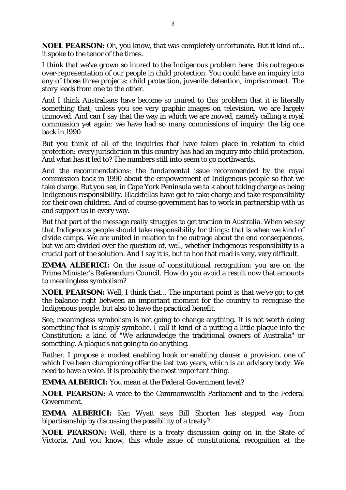**NOEL PEARSON:** Oh, you know, that was completely unfortunate. But it kind of... it spoke to the tenor of the times.

I think that we've grown so inured to the Indigenous problem here: this outrageous over-representation of our people in child protection. You could have an inquiry into any of those three projects: child protection, juvenile detention, imprisonment. The story leads from one to the other.

And I think Australians have become so inured to this problem that it is literally something that, unless you see very graphic images on television, we are largely unmoved. And can I say that the way in which we are moved, namely calling a royal commission yet again: we have had so many commissions of inquiry: the big one back in 1990.

But you think of all of the inquiries that have taken place in relation to child protection: every jurisdiction in this country has had an inquiry into child protection. And what has it led to? The numbers still into seem to go northwards.

And the recommendations: the fundamental issue recommended by the royal commission back in 1990 about the empowerment of Indigenous people so that we take charge. But you see, in Cape York Peninsula we talk about taking charge as being Indigenous responsibility. Blackfellas have got to take charge and take responsibility for their own children. And of course government has to work in partnership with us and support us in every way.

But that part of the message really struggles to get traction in Australia. When we say that Indigenous people should take responsibility for things: that is when we kind of divide camps. We are united in relation to the outrage about the end consequences, but we are divided over the question of, well, whether Indigenous responsibility is a crucial part of the solution. And I say it is, but to hoe that road is very, very difficult.

**EMMA ALBERICI:** On the issue of constitutional recognition: you are on the Prime Minister's Referendum Council. How do you avoid a result now that amounts to meaningless symbolism?

**NOEL PEARSON:** Well, I think that... The important point is that we've got to get the balance right between an important moment for the country to recognise the Indigenous people, but also to have the practical benefit.

See, meaningless symbolism is not going to change anything. It is not worth doing something that is simply symbolic. I call it kind of a putting a little plaque into the Constitution: a kind of "We acknowledge the traditional owners of Australia" or something. A plaque's not going to do anything.

Rather, I propose a modest enabling hook or enabling clause: a provision, one of which I've been championing offer the last two years, which is an advisory body. We need to have a voice. It is probably the most important thing.

**EMMA ALBERICI:** You mean at the Federal Government level?

**NOEL PEARSON:** A voice to the Commonwealth Parliament and to the Federal Government.

**EMMA ALBERICI:** Ken Wyatt says Bill Shorten has stepped way from bipartisanship by discussing the possibility of a treaty?

**NOEL PEARSON:** Well, there is a treaty discussion going on in the State of Victoria. And you know, this whole issue of constitutional recognition at the